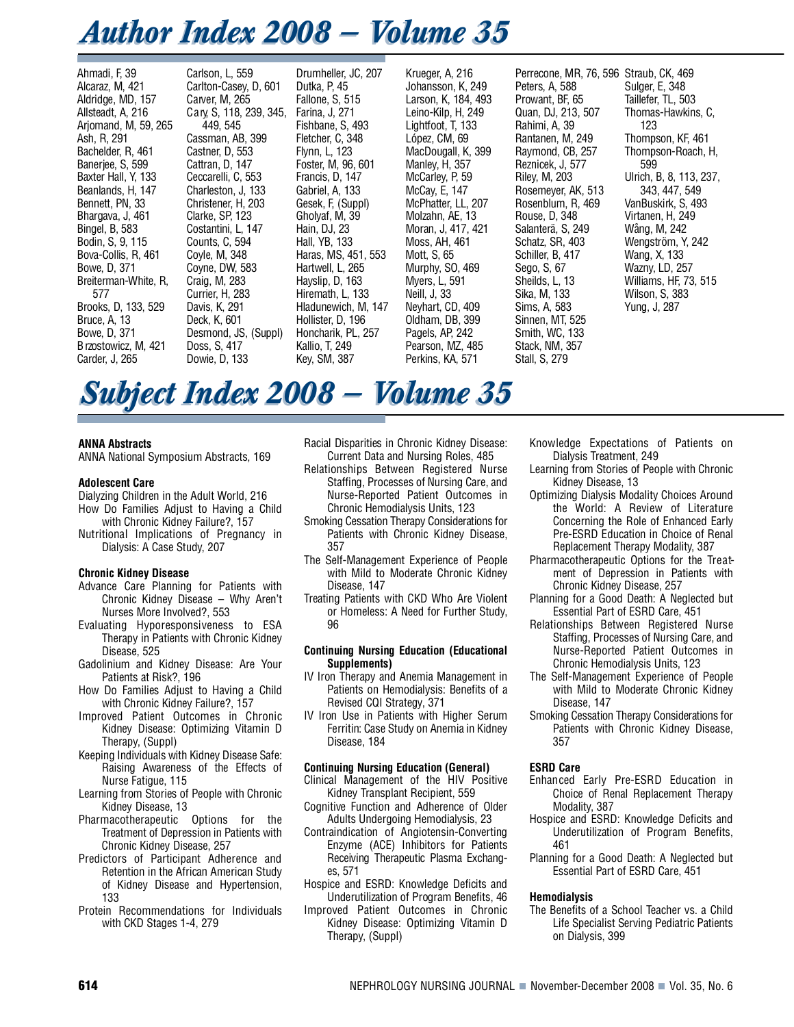# *Author Index 2008 – Volume 35*

Ahmadi, F, 39 Alcaraz, M, 421 Aldridge, MD, 157 Allsteadt, A, 216 Arjomand, M, 59, 265 Ash, R, 291 Bachelder, R, 461 Banerjee, S, 599 Baxter Hall, Y, 133 Beanlands, H, 147 Bennett, PN, 33 Bhargava, J, 461 Bingel, B, 583 Bodin, S, 9, 115 Bova-Collis, R, 461 Bowe, D, 371 Breiterman-White, R, 577 Brooks, D, 133, 529 Bruce, A, 13 Bowe, D, 371 B rzostowicz, M, 421 Carder, J, 265

Carlson, L, 559 Carlton-Casey, D, 601 Carver, M, 265 Cary, S, 118, 239, 345, 449, 545 Cassman, AB, 399 Castner, D, 553 Cattran, D, 147 Ceccarelli, C, 553 Charleston, J, 133 Christener, H, 203 Clarke, SP, 123 Costantini, L, 147 Counts, C, 594 Coyle, M, 348 Coyne, DW, 583 Craig, M, 283 Currier, H, 283 Davis, K, 291 Deck, K, 601 Desmond, JS, (Suppl) Doss, S, 417 Dowie, D, 133

Drumheller, JC, 207 Dutka, P, 45 Fallone, S, 515 Farina, J, 271 Fishbane, S, 493 Fletcher, C, 348 Flynn, L, 123 Foster, M, 96, 601 Francis, D, 147 Gabriel, A, 133 Gesek, F, (Suppl) Gholyaf, M, 39 Hain, DJ, 23 Hall, YB, 133 Haras, MS, 451, 553 Hartwell, L, 265 Hayslip, D, 163 Hiremath, L, 133 Hladunewich, M, 147 Hollister, D, 196 Honcharik, PL, 257 Kallio, T, 249 Kev, SM, 387

Krueger, A, 216 Johansson, K, 249 Larson, K, 184, 493 Leino-Kilp, H, 249 Lightfoot, T, 133 López, CM, 69 MacDougall, K, 399 Manley, H, 357 McCarley, P, 59 McCay, E, 147 McPhatter, LL, 207 Molzahn, AE, 13 Moran, J, 417, 421 Moss, AH, 461 Mott, S, 65 Murphy, SO, 469 Myers, L, 591 Neill, J, 33 Neyhart, CD, 409 Oldham, DB, 399 Pagels, AP, 242 Pearson, MZ, 485 Perkins, KA, 571

Perrecone, MR, 76, 596 Straub, CK, 469 Peters, A, 588 Prowant, BF, 65 Quan, DJ, 213, 507 Rahimi, A, 39 Rantanen, M, 249 Raymond, CB, 257 Reznicek, J, 577 Riley, M, 203 Rosemeyer, AK, 513 Rosenblum, R, 469 Rouse, D, 348 Salanterä, S, 249 Schatz, SR, 403 Schiller, B, 417 Sego, S, 67 Sheilds, L, 13 Sika, M, 133 Sims, A, 583 Sinnen, MT, 525 Smith, WC, 133 Stack, NM, 357 Stall, S, 279

Sulger, E, 348 Taillefer, TL, 503 Thomas-Hawkins, C, 123 Thompson, KF, 461 Thompson-Roach, H, 599 Ulrich, B, 8, 113, 237, 343, 447, 549 VanBuskirk, S, 493 Virtanen, H, 249 Wång, M, 242 Wengström, Y, 242 Wang, X, 133 Wazny, LD, 257 Williams, HF, 73, 515 Wilson, S, 383 Yung, J, 287

# **Subject Index 2008 – Volume 35**

#### **ANNA Abstracts**

ANNA National Symposium Abstracts, 169

#### **Adolescent Care**

- Dialyzing Children in the Adult World, 216 How Do Families Adjust to Having a Child
- with Chronic Kidney Failure?, 157 Nutritional Implications of Pregnancy in Dialysis: A Case Study, 207

#### **Chronic Kidney Disease**

- Advance Care Planning for Patients with Chronic Kidney Disease – Why Aren't Nurses More Involved?, 553
- Evaluating Hyporesponsiveness to ESA Therapy in Patients with Chronic Kidney Disease, 525
- Gadolinium and Kidney Disease: Are Your Patients at Risk?, 196
- How Do Families Adjust to Having a Child with Chronic Kidney Failure?, 157
- Improved Patient Outcomes in Chronic Kidney Disease: Optimizing Vitamin D Therapy, (Suppl)
- Keeping Individuals with Kidney Disease Safe: Raising Awareness of the Effects of Nurse Fatigue, 115
- Learning from Stories of People with Chronic Kidney Disease, 13
- Pharmacotherapeutic Options for the Treatment of Depression in Patients with Chronic Kidney Disease, 257
- Predictors of Participant Adherence and Retention in the African American Study of Kidney Disease and Hypertension, 133
- Protein Recommendations for Individuals with CKD Stages 1-4, 279

Racial Disparities in Chronic Kidney Disease: Current Data and Nursing Roles, 485

- Relationships Between Registered Nurse Staffing, Processes of Nursing Care, and Nurse-Reported Patient Outcomes in Chronic Hemodialysis Units, 123
- Smoking Cessation Therapy Considerations for Patients with Chronic Kidney Disease, 357
- The Self-Management Experience of People with Mild to Moderate Chronic Kidney Disease, 147
- Treating Patients with CKD Who Are Violent or Homeless: A Need for Further Study, 96

#### **Continuing Nursing Education (Educational** Supplements)

IV Iron Therapy and Anemia Management in Patients on Hemodialysis: Benefits of a Revised CQI Strategy, 371

IV Iron Use in Patients with Higher Serum Ferritin: Case Study on Anemia in Kidney Disease, 184

#### **Continuing Nursing Education (General)**

- Clinical Management of the HIV Positive Kidney Transplant Recipient, 559
- Cognitive Function and Adherence of Older Adults Undergoing Hemodialysis, 23
- Contraindication of Angiotensin-Converting Enzyme (ACE) Inhibitors for Patients Receiving Therapeutic Plasma Exchanges, 571
- Hospice and ESRD: Knowledge Deficits and Underutilization of Program Benefits, 46
- Improved Patient Outcomes in Chronic Kidney Disease: Optimizing Vitamin D Therapy, (Suppl)
- Knowledge Expectations of Patients on Dialysis Treatment, 249
- Learning from Stories of People with Chronic Kidney Disease, 13
- Optimizing Dialysis Modality Choices Around the World: A Review of Literature Concerning the Role of Enhanced Early Pre-ESRD Education in Choice of Renal Replacement Therapy Modality, 387
- Pharmacotherapeutic Options for the Treatment of Depression in Patients with Chronic Kidney Disease, 257
- Planning for a Good Death: A Neglected but Essential Part of ESRD Care, 451
- Relationships Between Registered Nurse Staffing, Processes of Nursing Care, and Nurse-Reported Patient Outcomes in Chronic Hemodialysis Units, 123
- The Self-Management Experience of People with Mild to Moderate Chronic Kidney Disease, 147
- Smoking Cessation Therapy Considerations for Patients with Chronic Kidney Disease, 357

#### **ESRD Care**

- Enhanced Early Pre-ESRD Education in Choice of Renal Replacement Therapy Modality, 387
- Hospice and ESRD: Knowledge Deficits and Underutilization of Program Benefits, 461
- Planning for a Good Death: A Neglected but Essential Part of ESRD Care, 451

#### **Hemodialysis**

The Benefits of a School Teacher vs. a Child Life Specialist Serving Pediatric Patients on Dialysis, 399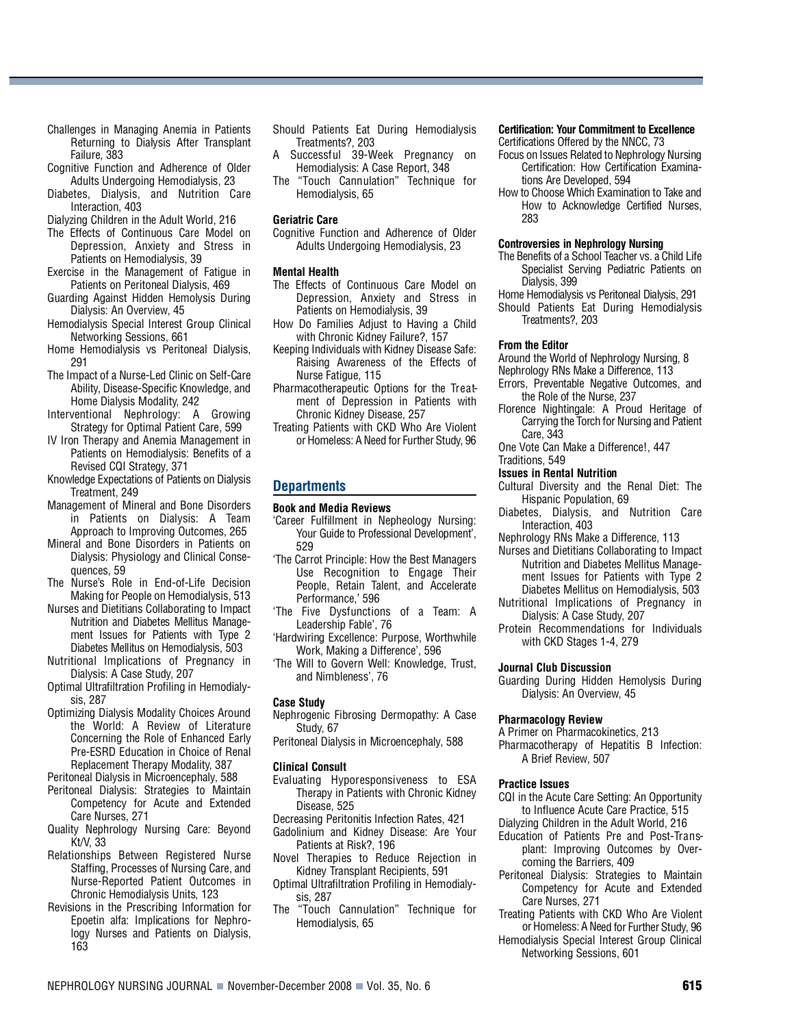- Challenges in Managing Anemia in Patients Returning to Dialysis After Transplant Failure, 383
- Cognitive Function and Adherence of Older Adults Undergoing Hemodialysis, 23
- Diabetes, Dialysis, and Nutrition Care Interaction, 403
- Dialyzing Children in the Adult World, 216
- The Effects of Continuous Care Model on Depression, Anxiety and Stress in Patients on Hemodialysis, 39
- Exercise in the Management of Fatigue in Patients on Peritoneal Dialysis, 469
- Guarding Against Hidden Hemolysis During Dialysis: An Overview, 45
- Hemodialysis Special Interest Group Clinical Networking Sessions, 661
- Home Hemodialysis vs Peritoneal Dialysis, 291
- The Impact of a Nurse-Led Clinic on Self-Care Ability, Disease-Specific Knowledge, and Home Dialysis Modality, 242
- Interventional Nephrology: A Growing Strategy for Optimal Patient Care, 599
- IV Iron Therapy and Anemia Management in Patients on Hemodialysis: Benefits of a Revised CQI Strategy, 371
- Knowledge Expectations of Patients on Dialysis Treatment, 249
- Management of Mineral and Bone Disorders in Patients on Dialysis: A Team Approach to Improving Outcomes, 265
- Mineral and Bone Disorders in Patients on Dialysis: Physiology and Clinical Consequences, 59
- The Nurse's Role in End-of-Life Decision Making for People on Hemodialysis, 513
- Nurses and Dietitians Collaborating to Impact Nutrition and Diabetes Mellitus Management Issues for Patients with Type 2 Diabetes Mellitus on Hemodialysis, 503
- Nutritional Implications of Pregnancy in Dialysis: A Case Study, 207
- Optimal Ultrafiltration Profiling in Hemodialysis, 287
- Optimizing Dialysis Modality Choices Around the World: A Review of Literature Concerning the Role of Enhanced Early Pre-ESRD Education in Choice of Renal Replacement Therapy Modality, 387

Peritoneal Dialysis in Microencephaly, 588

- Peritoneal Dialysis: Strategies to Maintain Competency for Acute and Extended Care Nurses, 271
- Quality Nephrology Nursing Care: Beyond Kt $N<sub>1</sub>$  33
- Relationships Between Registered Nurse Staffing, Processes of Nursing Care, and Nurse-Reported Patient Outcomes in Chronic Hemodialysis Units, 123
- Revisions in the Prescribing Information for Epoetin alfa: Implications for Nephrology Nurses and Patients on Dialysis, 163
- Should Patients Eat During Hemodialysis Treatments?, 203
- A Successful 39-Week Pregnancy on Hemodialysis: A Case Report, 348
- The "Touch Cannulation" Technique for Hemodialysis, 65

# **Geriatric Care**

Cognitive Function and Adherence of Older Adults Undergoing Hemodialysis, 23

#### **Mental Health**

- The Effects of Continuous Care Model on Depression, Anxiety and Stress in Patients on Hemodialysis, 39
- How Do Families Adjust to Having a Child with Chronic Kidney Failure?, 157
- Keeping Individuals with Kidney Disease Safe: Raising Awareness of the Effects of Nurse Fatigue, 115
- Pharmacotherapeutic Options for the Treatment of Depression in Patients with Chronic Kidney Disease, 257
- Treating Patients with CKD Who Are Violent or Homeless: A Need for Further Study, 96

# **Departments**

#### **Book and Media Reviews**

- 'Career Fulfillment in Nepheology Nursing: Your Guide to Professional Development', 529
- 'The Carrot Principle: How the Best Managers Use Recognition to Engage Their People, Retain Talent, and Accelerate Performance,' 596
- 'The Five Dysfunctions of a Team: A Leadership Fable', 76
- 'Hardwiring Excellence: Purpose, Worthwhile Work, Making a Difference', 596
- 'The Will to Govern Well: Knowledge, Trust, and Nimbleness', 76

#### **Case Study**

- Nephrogenic Fibrosing Dermopathy: A Case Study, 67
- Peritoneal Dialysis in Microencephaly, 588

#### **Clinical Consult**

- Evaluating Hyporesponsiveness to ESA Therapy in Patients with Chronic Kidney Disease, 525
- Decreasing Peritonitis Infection Rates, 421
- Gadolinium and Kidney Disease: Are Your Patients at Risk?, 196
- Novel Therapies to Reduce Rejection in Kidney Transplant Recipients, 591
- Optimal Ultrafiltration Profiling in Hemodialysis, 287
- The "Touch Cannulation" Technique for Hemodialysis, 65

# **Certification: Your Commitment to Excellence**

- Certifications Offered by the NNCC, 73
- Focus on Issues Related to Nephrology Nursing Certification: How Certification Examinations Are Developed, 594
- How to Choose Which Examination to Take and How to Acknowledge Certified Nurses, 283

#### **Controversies in Nephrology Nursing**

- The Benefits of a School Teacher vs. a Child Life Specialist Serving Pediatric Patients on Dialysis, 399
- Home Hemodialysis vs Peritoneal Dialysis, 291
- Should Patients Eat During Hemodialysis Treatments?, 203

#### **From the Editor**

Around the World of Nephrology Nursing, 8

- Nephrology RNs Make a Difference, 113
- Errors, Preventable Negative Outcomes, and the Role of the Nurse, 237
- Florence Nightingale: A Proud Heritage of Carrying the Torch for Nursing and Patient Care, 343
- One Vote Can Make a Difference!, 447
- Traditions, 549

#### **Issues in Rental Nutrition**

- Cultural Diversity and the Renal Diet: The Hispanic Population, 69
- Diabetes, Dialysis, and Nutrition Care Interaction, 403
- Nephrology RNs Make a Difference, 113
- Nurses and Dietitians Collaborating to Impact Nutrition and Diabetes Mellitus Management Issues for Patients with Type 2 Diabetes Mellitus on Hemodialysis, 503
- Nutritional Implications of Pregnancy in Dialysis: A Case Study, 207
- Protein Recommendations for Individuals with CKD Stages 1-4, 279

#### **Journal Club Discussion**

Guarding During Hidden Hemolysis During Dialysis: An Overview, 45

#### **Pharmacology Review**

A Primer on Pharmacokinetics, 213

Pharmacotherapy of Hepatitis B Infection: A Brief Review, 507

#### **Practice Issues**

- CQI in the Acute Care Setting: An Opportunity to Influence Acute Care Practice, 515
- Dialyzing Children in the Adult World, 216
- Education of Patients Pre and Post-Transplant: Improving Outcomes by Overcoming the Barriers, 409
- Peritoneal Dialysis: Strategies to Maintain Competency for Acute and Extended Care Nurses, 271
- Treating Patients with CKD Who Are Violent or Homeless: A Need for Further Study, 96
- Hemodialysis Special Interest Group Clinical Networking Sessions, 601